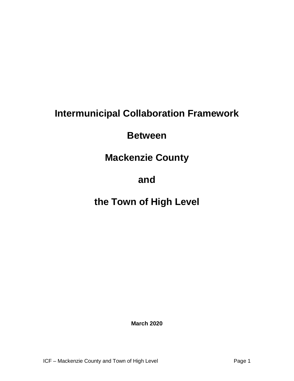# **Intermunicipal Collaboration Framework**

### **Between**

### **Mackenzie County**

### **and**

## **the Town of High Level**

**March 2020**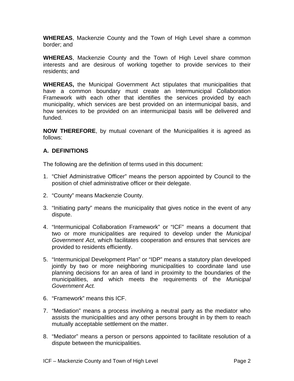**WHEREAS**, Mackenzie County and the Town of High Level share a common border; and

**WHEREAS**, Mackenzie County and the Town of High Level share common interests and are desirous of working together to provide services to their residents; and

**WHEREAS,** the Municipal Government Act stipulates that municipalities that have a common boundary must create an Intermunicipal Collaboration Framework with each other that identifies the services provided by each municipality, which services are best provided on an intermunicipal basis, and how services to be provided on an intermunicipal basis will be delivered and funded.

**NOW THEREFORE**, by mutual covenant of the Municipalities it is agreed as follows:

#### **A. DEFINITIONS**

The following are the definition of terms used in this document:

- 1. "Chief Administrative Officer" means the person appointed by Council to the position of chief administrative officer or their delegate.
- 2. "County" means Mackenzie County.
- 3. "Initiating party" means the municipality that gives notice in the event of any dispute.
- 4. "Intermunicipal Collaboration Framework" or "ICF" means a document that two or more municipalities are required to develop under the *Municipal Government Act*, which facilitates cooperation and ensures that services are provided to residents efficiently.
- 5. "Intermunicipal Development Plan" or "IDP" means a statutory plan developed jointly by two or more neighboring municipalities to coordinate land use planning decisions for an area of land in proximity to the boundaries of the municipalities, and which meets the requirements of the *Municipal Government Act.*
- 6. "Framework" means this ICF.
- 7. "Mediation" means a process involving a neutral party as the mediator who assists the municipalities and any other persons brought in by them to reach mutually acceptable settlement on the matter.
- 8. "Mediator" means a person or persons appointed to facilitate resolution of a dispute between the municipalities.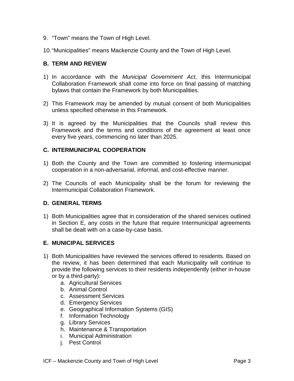- 9. "Town" means the Town of High Level.
- 10."Municipalities" means Mackenzie County and the Town of High Level.

#### **B. TERM AND REVIEW**

- 1) In accordance with the *Municipal Government Act*, this Intermunicipal Collaboration Framework shall come into force on final passing of matching bylaws that contain the Framework by both Municipalities.
- 2) This Framework may be amended by mutual consent of both Municipalities unless specified otherwise in this Framework.
- 3) It is agreed by the Municipalities that the Councils shall review this Framework and the terms and conditions of the agreement at least once every five years, commencing no later than 2025.

#### **C. INTERMUNICIPAL COOPERATION**

- 1) Both the County and the Town are committed to fostering intermunicipal cooperation in a non-adversarial, informal, and cost-effective manner.
- 2) The Councils of each Municipality shall be the forum for reviewing the Intermunicipal Collaboration Framework.

#### **D. GENERAL TERMS**

1) Both Municipalities agree that in consideration of the shared services outlined in Section E, any costs in the future that require Intermunicipal agreements shall be dealt with on a case-by-case basis.

#### **E. MUNICIPAL SERVICES**

- 1) Both Municipalities have reviewed the services offered to residents. Based on the review, it has been determined that each Municipality will continue to provide the following services to their residents independently (either in-house or by a third-party):
	- a. Agricultural Services
	- b. Animal Control
	- c. Assessment Services
	- d. Emergency Services
	- e. Geographical Information Systems (GIS)
	- f. Information Technology
	- g. Library Services
	- h. Maintenance & Transportation
	- i. Municipal Administration
	- j. Pest Control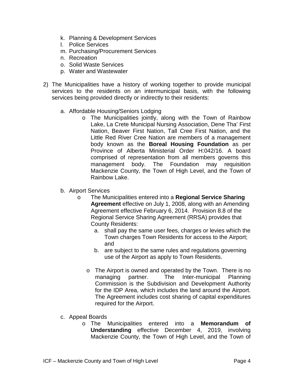- k. Planning & Development Services
- l. Police Services
- m. Purchasing/Procurement Services
- n. Recreation
- o. Solid Waste Services
- p. Water and Wastewater
- 2) The Municipalities have a history of working together to provide municipal services to the residents on an intermunicipal basis, with the following services being provided directly or indirectly to their residents:
	- a. Affordable Housing/Seniors Lodging
		- o The Municipalities jointly, along with the Town of Rainbow Lake, La Crete Municipal Nursing Association, Dene Tha' First Nation, Beaver First Nation, Tall Cree First Nation, and the Little Red River Cree Nation are members of a management body known as the **Boreal Housing Foundation** as per Province of Alberta Ministerial Order H:042/16. A board comprised of representation from all members governs this management body. The Foundation may requisition Mackenzie County, the Town of High Level, and the Town of Rainbow Lake.
	- b. Airport Services
		- o The Municipalities entered into a **Regional Service Sharing Agreement** effective on July 1, 2008, along with an Amending Agreement effective February 6, 2014. Provision 8.8 of the Regional Service Sharing Agreement (RRSA) provides that County Residents:
			- a. shall pay the same user fees, charges or levies which the Town charges Town Residents for access to the Airport; and
			- b. are subject to the same rules and regulations governing use of the Airport as apply to Town Residents.
			- o The Airport is owned and operated by the Town. There is no<br>managing partner. The Inter-municipal Planning The Inter-municipal Commission is the Subdivision and Development Authority for the IDP Area, which includes the land around the Airport. The Agreement includes cost sharing of capital expenditures required for the Airport.
	- c. Appeal Boards
		- o The Municipalities entered into a **Memorandum of Understanding** effective December 4, 2019, involving Mackenzie County, the Town of High Level, and the Town of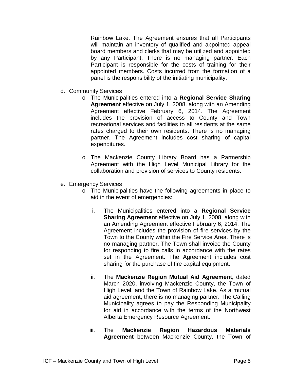Rainbow Lake. The Agreement ensures that all Participants will maintain an inventory of qualified and appointed appeal board members and clerks that may be utilized and appointed by any Participant. There is no managing partner. Each Participant is responsible for the costs of training for their appointed members. Costs incurred from the formation of a panel is the responsibility of the initiating municipality.

- d. Community Services
	- o The Municipalities entered into a **Regional Service Sharing Agreement** effective on July 1, 2008, along with an Amending Agreement effective February 6, 2014. The Agreement includes the provision of access to County and Town recreational services and facilities to all residents at the same rates charged to their own residents. There is no managing partner. The Agreement includes cost sharing of capital expenditures.
	- o The Mackenzie County Library Board has a Partnership Agreement with the High Level Municipal Library for the collaboration and provision of services to County residents.
- e. Emergency Services
	- o The Municipalities have the following agreements in place to aid in the event of emergencies:
		- i. The Municipalities entered into a **Regional Service Sharing Agreement** effective on July 1, 2008, along with an Amending Agreement effective February 6, 2014. The Agreement includes the provision of fire services by the Town to the County within the Fire Service Area. There is no managing partner. The Town shall invoice the County for responding to fire calls in accordance with the rates set in the Agreement. The Agreement includes cost sharing for the purchase of fire capital equipment.
		- ii. The **Mackenzie Region Mutual Aid Agreement,** dated March 2020, involving Mackenzie County, the Town of High Level, and the Town of Rainbow Lake. As a mutual aid agreement, there is no managing partner. The Calling Municipality agrees to pay the Responding Municipality for aid in accordance with the terms of the Northwest Alberta Emergency Resource Agreement.
		- iii. The **Mackenzie Region Hazardous Materials Agreement** between Mackenzie County, the Town of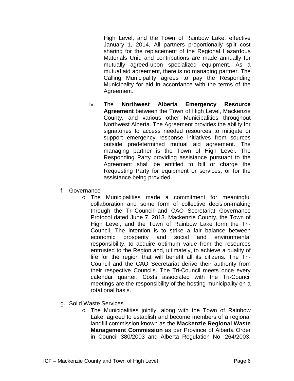High Level, and the Town of Rainbow Lake, effective January 1, 2014. All partners proportionally split cost sharing for the replacement of the Regional Hazardous Materials Unit, and contributions are made annually for mutually agreed-upon specialized equipment. As a mutual aid agreement, there is no managing partner. The Calling Municipality agrees to pay the Responding Municipality for aid in accordance with the terms of the Agreement.

- iv. The **Northwest Alberta Emergency Resource Agreement** between the Town of High Level, Mackenzie County, and various other Municipalities throughout Northwest Alberta. The Agreement provides the ability for signatories to access needed resources to mitigate or support emergency response initiatives from sources outside predetermined mutual aid agreement. The managing partner is the Town of High Level. The Responding Party providing assistance pursuant to the Agreement shall be entitled to bill or charge the Requesting Party for equipment or services, or for the assistance being provided.
- f. Governance
	- o The Municipalities made a commitment for meaningful collaboration and some form of collective decision-making through the Tri-Council and CAO Secretariat Governance Protocol dated June 7, 2013. Mackenzie County, the Town of High Level, and the Town of Rainbow Lake form the Tri-Council. The intention is to strike a fair balance between economic prosperity and social and environmental responsibility, to acquire optimum value from the resources entrusted to the Region and, ultimately, to achieve a quality of life for the region that will benefit all its citizens. The Tri-Council and the CAO Secretariat derive their authority from their respective Councils. The Tri-Council meets once every calendar quarter. Costs associated with the Tri-Council meetings are the responsibility of the hosting municipality on a rotational basis.
- g. Solid Waste Services
	- o The Municipalities jointly, along with the Town of Rainbow Lake, agreed to establish and become members of a regional landfill commission known as the **Mackenzie Regional Waste Management Commission** as per Province of Alberta Order in Council 380/2003 and Alberta Regulation No. 264/2003.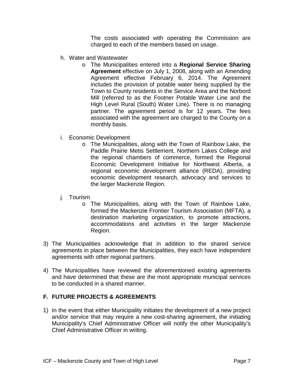The costs associated with operating the Commission are charged to each of the members based on usage.

- h. Water and Wastewater
	- o The Municipalities entered into a **Regional Service Sharing Agreement** effective on July 1, 2008, along with an Amending Agreement effective February 6, 2014. The Agreement includes the provision of potable water being supplied by the Town to County residents in the Service Area and the Norbord Mill (referred to as the Footner Potable Water Line and the High Level Rural (South) Water Line). There is no managing partner. The agreement period is for 12 years. The fees associated with the agreement are charged to the County on a monthly basis.
- i. Economic Development
	- o The Municipalities, along with the Town of Rainbow Lake, the Paddle Prairie Metis Settlement, Northern Lakes College and the regional chambers of commerce, formed the Regional Economic Development Initiative for Northwest Alberta, a regional economic development alliance (REDA), providing economic development research, advocacy and services to the larger Mackenzie Region.
- j. Tourism
	- o The Municipalities, along with the Town of Rainbow Lake, formed the Mackenzie Frontier Tourism Association (MFTA), a destination marketing organization, to promote attractions, accommodations and activities in the larger Mackenzie Region.
- 3) The Municipalities acknowledge that in addition to the shared service agreements in place between the Municipalities, they each have independent agreements with other regional partners.
- 4) The Municipalities have reviewed the aforementioned existing agreements and have determined that these are the most appropriate municipal services to be conducted in a shared manner.

#### **F. FUTURE PROJECTS & AGREEMENTS**

1) In the event that either Municipality initiates the development of a new project and/or service that may require a new cost-sharing agreement, the initiating Municipality's Chief Administrative Officer will notify the other Municipality's Chief Administrative Officer in writing.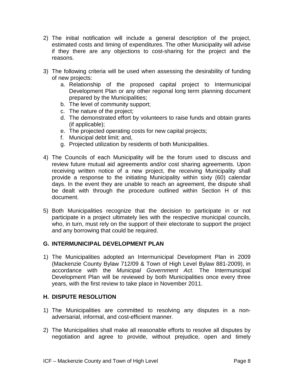- 2) The initial notification will include a general description of the project, estimated costs and timing of expenditures. The other Municipality will advise if they there are any objections to cost-sharing for the project and the reasons.
- 3) The following criteria will be used when assessing the desirability of funding of new projects:
	- a. Relationship of the proposed capital project to Intermunicipal Development Plan or any other regional long term planning document prepared by the Municipalities;
	- b. The level of community support;
	- c. The nature of the project;
	- d. The demonstrated effort by volunteers to raise funds and obtain grants (if applicable);
	- e. The projected operating costs for new capital projects;
	- f. Municipal debt limit; and,
	- g. Projected utilization by residents of both Municipalities.
- 4) The Councils of each Municipality will be the forum used to discuss and review future mutual aid agreements and/or cost sharing agreements. Upon receiving written notice of a new project, the receiving Municipality shall provide a response to the initiating Municipality within sixty (60) calendar days. In the event they are unable to reach an agreement, the dispute shall be dealt with through the procedure outlined within Section H of this document.
- 5) Both Municipalities recognize that the decision to participate in or not participate in a project ultimately lies with the respective municipal councils, who, in turn, must rely on the support of their electorate to support the project and any borrowing that could be required.

#### **G. INTERMUNICIPAL DEVELOPMENT PLAN**

1) The Municipalities adopted an Intermunicipal Development Plan in 2009 (Mackenzie County Bylaw 712/09 & Town of High Level Bylaw 881-2009), in accordance with the *Municipal Government Act*. The Intermunicipal Development Plan will be reviewed by both Municipalities once every three years, with the first review to take place in November 2011.

#### **H. DISPUTE RESOLUTION**

- 1) The Municipalities are committed to resolving any disputes in a nonadversarial, informal, and cost-efficient manner.
- 2) The Municipalities shall make all reasonable efforts to resolve all disputes by negotiation and agree to provide, without prejudice, open and timely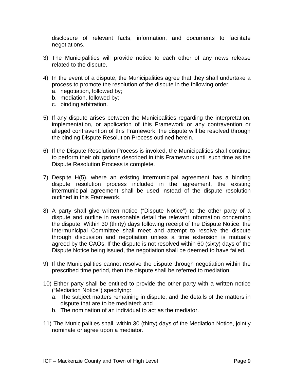disclosure of relevant facts, information, and documents to facilitate negotiations.

- 3) The Municipalities will provide notice to each other of any news release related to the dispute.
- 4) In the event of a dispute, the Municipalities agree that they shall undertake a process to promote the resolution of the dispute in the following order:
	- a. negotiation, followed by;
	- b. mediation, followed by;
	- c. binding arbitration.
- 5) If any dispute arises between the Municipalities regarding the interpretation, implementation, or application of this Framework or any contravention or alleged contravention of this Framework, the dispute will be resolved through the binding Dispute Resolution Process outlined herein.
- 6) If the Dispute Resolution Process is invoked, the Municipalities shall continue to perform their obligations described in this Framework until such time as the Dispute Resolution Process is complete.
- 7) Despite H(5), where an existing intermunicipal agreement has a binding dispute resolution process included in the agreement, the existing intermunicipal agreement shall be used instead of the dispute resolution outlined in this Framework.
- 8) A party shall give written notice ("Dispute Notice") to the other party of a dispute and outline in reasonable detail the relevant information concerning the dispute. Within 30 (thirty) days following receipt of the Dispute Notice, the Intermunicipal Committee shall meet and attempt to resolve the dispute through discussion and negotiation unless a time extension is mutually agreed by the CAOs. If the dispute is not resolved within 60 (sixty) days of the Dispute Notice being issued, the negotiation shall be deemed to have failed.
- 9) If the Municipalities cannot resolve the dispute through negotiation within the prescribed time period, then the dispute shall be referred to mediation.
- 10) Either party shall be entitled to provide the other party with a written notice ("Mediation Notice") specifying:
	- a. The subject matters remaining in dispute, and the details of the matters in dispute that are to be mediated; and
	- b. The nomination of an individual to act as the mediator.
- 11) The Municipalities shall, within 30 (thirty) days of the Mediation Notice, jointly nominate or agree upon a mediator.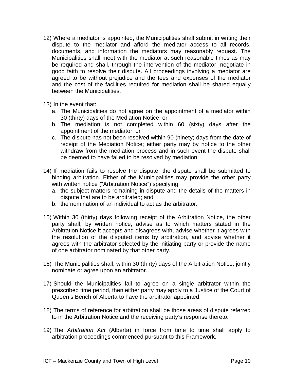12) Where a mediator is appointed, the Municipalities shall submit in writing their dispute to the mediator and afford the mediator access to all records, documents, and information the mediators may reasonably request. The Municipalities shall meet with the mediator at such reasonable times as may be required and shall, through the intervention of the mediator, negotiate in good faith to resolve their dispute. All proceedings involving a mediator are agreed to be without prejudice and the fees and expenses of the mediator and the cost of the facilities required for mediation shall be shared equally between the Municipalities.

13) In the event that:

- a. The Municipalities do not agree on the appointment of a mediator within 30 (thirty) days of the Mediation Notice; or
- b. The mediation is not completed within 60 (sixty) days after the appointment of the mediator; or
- c. The dispute has not been resolved within 90 (ninety) days from the date of receipt of the Mediation Notice; either party may by notice to the other withdraw from the mediation process and in such event the dispute shall be deemed to have failed to be resolved by mediation.
- 14) If mediation fails to resolve the dispute, the dispute shall be submitted to binding arbitration. Either of the Municipalities may provide the other party with written notice ("Arbitration Notice") specifying:
	- a. the subject matters remaining in dispute and the details of the matters in dispute that are to be arbitrated; and
	- b. the nomination of an individual to act as the arbitrator.
- 15) Within 30 (thirty) days following receipt of the Arbitration Notice, the other party shall, by written notice, advise as to which matters stated in the Arbitration Notice it accepts and disagrees with, advise whether it agrees with the resolution of the disputed items by arbitration, and advise whether it agrees with the arbitrator selected by the initiating party or provide the name of one arbitrator nominated by that other party.
- 16) The Municipalities shall, within 30 (thirty) days of the Arbitration Notice, jointly nominate or agree upon an arbitrator.
- 17) Should the Municipalities fail to agree on a single arbitrator within the prescribed time period, then either party may apply to a Justice of the Court of Queen's Bench of Alberta to have the arbitrator appointed.
- 18) The terms of reference for arbitration shall be those areas of dispute referred to in the Arbitration Notice and the receiving party's response thereto.
- 19) The *Arbitration Act* (Alberta) in force from time to time shall apply to arbitration proceedings commenced pursuant to this Framework.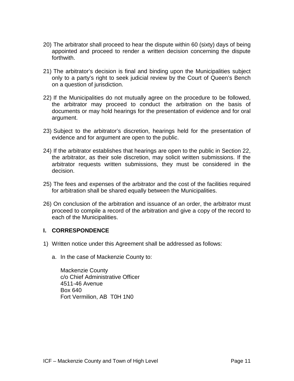- 20) The arbitrator shall proceed to hear the dispute within 60 (sixty) days of being appointed and proceed to render a written decision concerning the dispute forthwith.
- 21) The arbitrator's decision is final and binding upon the Municipalities subject only to a party's right to seek judicial review by the Court of Queen's Bench on a question of jurisdiction.
- 22) If the Municipalities do not mutually agree on the procedure to be followed, the arbitrator may proceed to conduct the arbitration on the basis of documents or may hold hearings for the presentation of evidence and for oral argument.
- 23) Subject to the arbitrator's discretion, hearings held for the presentation of evidence and for argument are open to the public.
- 24) If the arbitrator establishes that hearings are open to the public in Section 22, the arbitrator, as their sole discretion, may solicit written submissions. If the arbitrator requests written submissions, they must be considered in the decision.
- 25) The fees and expenses of the arbitrator and the cost of the facilities required for arbitration shall be shared equally between the Municipalities.
- 26) On conclusion of the arbitration and issuance of an order, the arbitrator must proceed to compile a record of the arbitration and give a copy of the record to each of the Municipalities.

#### **I. CORRESPONDENCE**

- 1) Written notice under this Agreement shall be addressed as follows:
	- a. In the case of Mackenzie County to:

Mackenzie County c/o Chief Administrative Officer 4511-46 Avenue Box 640 Fort Vermilion, AB T0H 1N0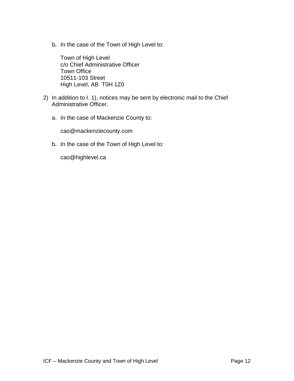b**.** In the case of the Town of High Level to:

Town of High Level c/o Chief Administrative Officer Town Office 10511-103 Street High Level, AB T0H 1Z0

- 2) In addition to I. 1), notices may be sent by electronic mail to the Chief Administrative Officer.
	- a. In the case of Mackenzie County to:

cao@mackenziecounty.com

b**.** In the case of the Town of High Level to:

cao@highlevel.ca